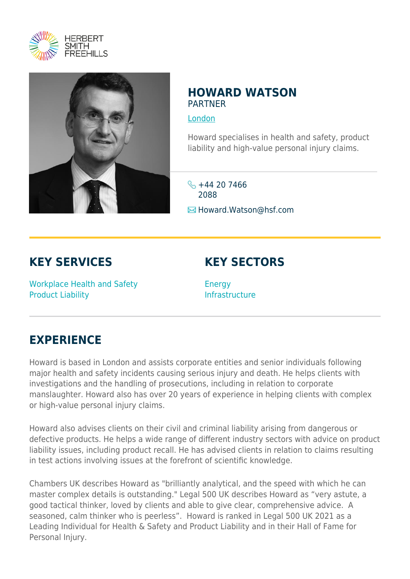



### **HOWARD WATSON** PARTNER

[London](https://www.herbertsmithfreehills.com/lang-zh-hans/where-we-work/london)

Howard specialises in health and safety, product liability and high-value personal injury claims.

 $\frac{1}{2}$  +44 20 7466 2088

**E**Howard.Watson@hsf.com

## **KEY SERVICES**

Workplace Health and Safety Product Liability

# **KEY SECTORS**

Energy Infrastructure

## **EXPERIENCE**

Howard is based in London and assists corporate entities and senior individuals following major health and safety incidents causing serious injury and death. He helps clients with investigations and the handling of prosecutions, including in relation to corporate manslaughter. Howard also has over 20 years of experience in helping clients with complex or high-value personal injury claims.

Howard also advises clients on their civil and criminal liability arising from dangerous or defective products. He helps a wide range of different industry sectors with advice on product liability issues, including product recall. He has advised clients in relation to claims resulting in test actions involving issues at the forefront of scientific knowledge.

Chambers UK describes Howard as "brilliantly analytical, and the speed with which he can master complex details is outstanding." Legal 500 UK describes Howard as "very astute, a good tactical thinker, loved by clients and able to give clear, comprehensive advice. A seasoned, calm thinker who is peerless". Howard is ranked in Legal 500 UK 2021 as a Leading Individual for Health & Safety and Product Liability and in their Hall of Fame for Personal Injury.